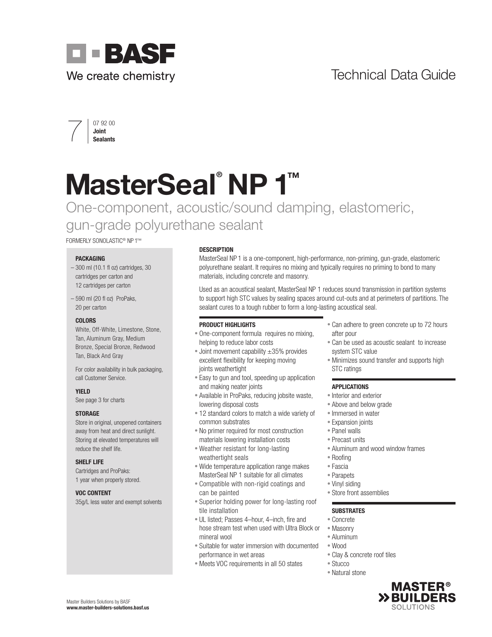### Technical Data Guide



## $\overline{\smash{\bigg\vert}}\ \begin{array}{c} \text{{\small 07 92 00}} \ \text{{\small 30int}}\ \text{Sealants} \end{array}$

# MasterSeal<sup>®</sup> NP 1<sup>™</sup>

One-component, acoustic/sound damping, elastomeric, gun-grade polyurethane sealant

FORMERLY SONOLASTIC® NP 1™

#### PACKAGING

- 300 ml (10.1 fl oz) cartridges, 30 cartridges per carton and 12 cartridges per carton
- 590 ml (20 fl oz) ProPaks, 20 per carton

#### COLORS

White, Off-White, Limestone, Stone, Tan, Aluminum Gray, Medium Bronze, Special Bronze, Redwood Tan, Black And Gray

For color availability in bulk packaging, call Customer Service.

#### YIELD

See page 3 for charts

#### **STORAGE**

Store in original, unopened containers away from heat and direct sunlight. Storing at elevated temperatures will reduce the shelf life.

#### SHELF LIFE

Cartridges and ProPaks: 1 year when properly stored.

#### VOC CONTENT

35g/L less water and exempt solvents

#### **DESCRIPTION**

MasterSeal NP 1 is a one-component, high-performance, non-priming, gun-grade, elastomeric polyurethane sealant. It requires no mixing and typically requires no priming to bond to many materials, including concrete and masonry.

Used as an acoustical sealant, MasterSeal NP 1 reduces sound transmission in partition systems to support high STC values by sealing spaces around cut-outs and at perimeters of partitions. The sealant cures to a tough rubber to form a long-lasting acoustical seal.

#### PRODUCT HIGHLIGHTS

- One-component formula requires no mixing, helping to reduce labor costs
- Joint movement capability  $\pm 35\%$  provides excellent flexibility for keeping moving joints weathertight
- Easy to gun and tool, speeding up application and making neater joints
- Available in ProPaks, reducing jobsite waste, lowering disposal costs
- 12 standard colors to match a wide variety of common substrates
- No primer required for most construction materials lowering installation costs
- Weather resistant for long-lasting weathertight seals
- Wide temperature application range makes MasterSeal NP 1 suitable for all climates
- Compatible with non-rigid coatings and can be painted
- Superior holding power for long-lasting roof tile installation
- UL listed; Passes 4–hour, 4–inch, fire and hose stream test when used with Ultra Block or mineral wool
- Suitable for water immersion with documented performance in wet areas
- Meets VOC requirements in all 50 states
- Can adhere to green concrete up to 72 hours after pour
- Can be used as acoustic sealant to increase system STC value
- Minimizes sound transfer and supports high STC ratings

#### APPLICATIONS

- Interior and exterior
- Above and below grade
- Immersed in water
- Expansion joints
- Panel walls
- Precast units
- Aluminum and wood window frames
- Roofing
- Fascia
- Parapets
- Vinyl siding
- Store front assemblies

#### **SUBSTRATES**

- Concrete
- Masonry
- Aluminum
- Wood
- Clay & concrete roof tiles
- Stucco
- Natural stone

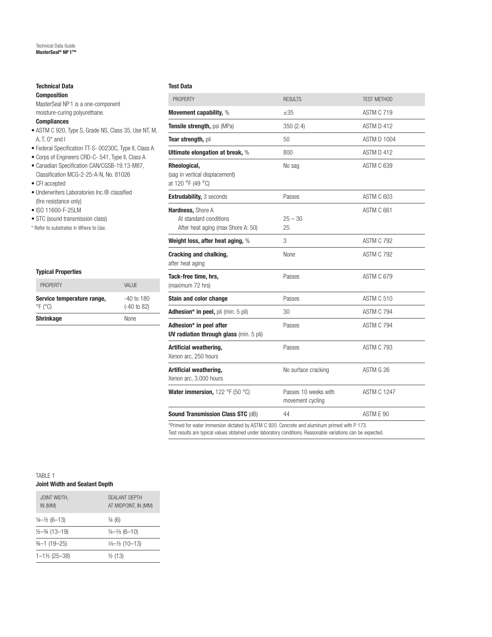#### Technical Data Composition

### MasterSeal NP 1 is a one-component moisture-curing polyurethane.

#### **Compliances**

- ASTM C 920, Type S, Grade NS, Class 35, Use NT, M, A, T, O\* and I
- Federal Specification TT-S- 00230C, Type II, Class A
- Corps of Engineers CRD-C- 541, Type II, Class A
- Canadian Specification CAN/CGSB-19.13-M87, Classification MCG-2-25-A-N, No. 81026
- CFI accepted
- Underwriters Laboratories Inc.® classified (fire resistance only)
- ISO 11600-F-25LM
- STC (sound transmission class)
- \* Refer to substrates in Where to Use.

| <b>Shrinkage</b>                                         | <b>None</b>                            |
|----------------------------------------------------------|----------------------------------------|
| Service temperature range,<br>$\degree$ F ( $\degree$ C) | $-40$ to 180<br>$(-40 \text{ to } 82)$ |
| <b>PROPERTY</b>                                          | VAI UF                                 |
| <b>Typical Properties</b>                                |                                        |

#### Test Data

| <b>PROPERTY</b>                                                                                                                                                                                              | <b>RESULTS</b>                           | <b>TEST METHOD</b> |
|--------------------------------------------------------------------------------------------------------------------------------------------------------------------------------------------------------------|------------------------------------------|--------------------|
| Movement capability, %                                                                                                                                                                                       | $\pm 35$                                 | ASTM C 719         |
| Tensile strength, psi (MPa)                                                                                                                                                                                  | 350(2.4)                                 | ASTM D 412         |
| Tear strength, pli                                                                                                                                                                                           | 50                                       | <b>ASTM D 1004</b> |
| Ultimate elongation at break, %                                                                                                                                                                              | 800                                      | ASTM D 412         |
| Rheological,<br>(sag in vertical displacement)<br>at 120 °F (49 °C)                                                                                                                                          | No sag                                   | <b>ASTM C 639</b>  |
| <b>Extrudability, 3 seconds</b>                                                                                                                                                                              | Passes                                   | ASTM C 603         |
| Hardness, Shore A<br>At standard conditions<br>After heat aging (max Shore A: 50)                                                                                                                            | $25 - 30$<br>25                          | ASTM C 661         |
| Weight loss, after heat aging, %                                                                                                                                                                             | 3                                        | <b>ASTM C 792</b>  |
| <b>Cracking and chalking,</b><br>after heat aging                                                                                                                                                            | None                                     | <b>ASTM C 792</b>  |
| Tack-free time, hrs,<br>(maximum 72 hrs)                                                                                                                                                                     | Passes                                   | <b>ASTM C 679</b>  |
| <b>Stain and color change</b>                                                                                                                                                                                | Passes                                   | ASTM C 510         |
| Adhesion* in peel, pli (min. 5 pli)                                                                                                                                                                          | 30                                       | ASTM C 794         |
| Adhesion* in peel after<br>UV radiation through glass (min. 5 pli)                                                                                                                                           | Passes                                   | ASTM C 794         |
| Artificial weathering,<br>Xenon arc, 250 hours                                                                                                                                                               | Passes                                   | <b>ASTM C 793</b>  |
| Artificial weathering,<br>Xenon arc, 3,000 hours                                                                                                                                                             | No surface cracking                      | ASTM G 26          |
| Water immersion, 122 °F (50 °C)                                                                                                                                                                              | Passes 10 weeks with<br>movement cycling | <b>ASTM C 1247</b> |
| <b>Sound Transmission Class STC (dB)</b>                                                                                                                                                                     | 44                                       | ASTM E 90          |
| *Primed for water immersion dictated by ASTM C 920. Concrete and aluminum primed with P 173.<br>Test results are typical values obtained under laboratory conditions. Reasonable variations can be expected. |                                          |                    |

#### TABLE 1 Joint Width and Sealant Depth

| JOINT WIDTH.<br>IN (MM)               | SFAI ANT DEPTH<br>AT MIDPOINT, IN (MM) |
|---------------------------------------|----------------------------------------|
| $\frac{1}{4} - \frac{1}{2} (6 - 13)$  | $\frac{1}{4}$ (6)                      |
| $\frac{1}{2} - \frac{3}{4} (13 - 19)$ | $\frac{1}{4} - \frac{3}{8}$ (6-10)     |
| $-1(19-25)$                           | $\frac{3}{6} - \frac{1}{2}$ (10-13)    |
| $1 - 1\frac{1}{2}$ (25-38)            | $\frac{1}{2}$ (13)                     |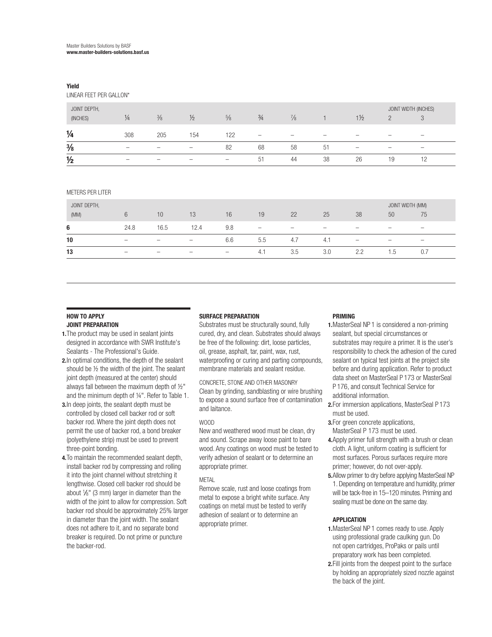#### Yield

LINEAR FEET PER GALLON\*

| JOINT DEPTH,<br>(INCHES) | $\frac{1}{4}$            | $\frac{3}{8}$            | $\frac{1}{2}$            | $\frac{5}{8}$            | $\frac{3}{4}$            | $\frac{7}{8}$            |                          | $1\frac{1}{2}$           |                          | JOINT WIDTH (INCHES)<br>ే |  |
|--------------------------|--------------------------|--------------------------|--------------------------|--------------------------|--------------------------|--------------------------|--------------------------|--------------------------|--------------------------|---------------------------|--|
| $\frac{1}{4}$            | 308                      | 205                      | 154                      | 122                      | $\overline{\phantom{a}}$ | $\overline{\phantom{a}}$ | $\overline{\phantom{a}}$ | -                        | -                        | $\overline{\phantom{a}}$  |  |
| $\frac{3}{8}$            | $\overline{\phantom{a}}$ | $\overline{\phantom{a}}$ | $\overline{\phantom{0}}$ | 82                       | 68                       | 58                       | 51                       | $\overline{\phantom{0}}$ | $\overline{\phantom{0}}$ | $\overline{\phantom{a}}$  |  |
| $\frac{1}{2}$            | $\overline{\phantom{a}}$ | $\overline{\phantom{a}}$ | -                        | $\overline{\phantom{a}}$ | 51                       | 44                       | 38                       | 26                       | 19                       |                           |  |

#### METERS PER LITER

| JOINT DEPTH,<br>(MM) |                          | 10                                                                                                                                                                                                                                                                                                                                                                                 | 13                       | 16              | 19                       | 22                       | 25                       | 38                       | JOINT WIDTH (MM)<br>50                                                                                                                                                                                                                                                                                                                                                             | 75                           |  |
|----------------------|--------------------------|------------------------------------------------------------------------------------------------------------------------------------------------------------------------------------------------------------------------------------------------------------------------------------------------------------------------------------------------------------------------------------|--------------------------|-----------------|--------------------------|--------------------------|--------------------------|--------------------------|------------------------------------------------------------------------------------------------------------------------------------------------------------------------------------------------------------------------------------------------------------------------------------------------------------------------------------------------------------------------------------|------------------------------|--|
| 6                    | 24.8                     | 16.5                                                                                                                                                                                                                                                                                                                                                                               | 12.4                     | 9.8             | $\overline{\phantom{0}}$ | $\overline{\phantom{a}}$ | $\overline{\phantom{a}}$ | $\overline{\phantom{a}}$ | $\overline{\phantom{0}}$                                                                                                                                                                                                                                                                                                                                                           | $\overline{\phantom{0}}$     |  |
| 10                   | $\overline{\phantom{0}}$ | $\hspace{1.0cm} \hspace{1.0cm} \hspace{1.0cm} \hspace{1.0cm} \hspace{1.0cm} \hspace{1.0cm} \hspace{1.0cm} \hspace{1.0cm} \hspace{1.0cm} \hspace{1.0cm} \hspace{1.0cm} \hspace{1.0cm} \hspace{1.0cm} \hspace{1.0cm} \hspace{1.0cm} \hspace{1.0cm} \hspace{1.0cm} \hspace{1.0cm} \hspace{1.0cm} \hspace{1.0cm} \hspace{1.0cm} \hspace{1.0cm} \hspace{1.0cm} \hspace{1.0cm} \hspace{$ | $\qquad \qquad$          | 6.6             | 5.5                      | 4.7                      | 4.1                      | $\overline{\phantom{0}}$ | $\hspace{1.0cm} \hspace{1.0cm} \hspace{1.0cm} \hspace{1.0cm} \hspace{1.0cm} \hspace{1.0cm} \hspace{1.0cm} \hspace{1.0cm} \hspace{1.0cm} \hspace{1.0cm} \hspace{1.0cm} \hspace{1.0cm} \hspace{1.0cm} \hspace{1.0cm} \hspace{1.0cm} \hspace{1.0cm} \hspace{1.0cm} \hspace{1.0cm} \hspace{1.0cm} \hspace{1.0cm} \hspace{1.0cm} \hspace{1.0cm} \hspace{1.0cm} \hspace{1.0cm} \hspace{$ | $\qquad \qquad \blacksquare$ |  |
| 13                   | $\overline{\phantom{a}}$ | $\hspace{1.0cm} \hspace{1.0cm} \hspace{1.0cm} \hspace{1.0cm} \hspace{1.0cm} \hspace{1.0cm} \hspace{1.0cm} \hspace{1.0cm} \hspace{1.0cm} \hspace{1.0cm} \hspace{1.0cm} \hspace{1.0cm} \hspace{1.0cm} \hspace{1.0cm} \hspace{1.0cm} \hspace{1.0cm} \hspace{1.0cm} \hspace{1.0cm} \hspace{1.0cm} \hspace{1.0cm} \hspace{1.0cm} \hspace{1.0cm} \hspace{1.0cm} \hspace{1.0cm} \hspace{$ | $\overline{\phantom{a}}$ | $\qquad \qquad$ | 4.1                      | 3.5                      | 3.0                      | 2.2                      | ن <i>ا</i>                                                                                                                                                                                                                                                                                                                                                                         | 0.7                          |  |

#### HOW TO APPLY

#### JOINT PREPARATION

- 1. The product may be used in sealant joints designed in accordance with SWR Institute's Sealants - The Professional's Guide.
- 2. In optimal conditions, the depth of the sealant should be ½ the width of the joint. The sealant joint depth (measured at the center) should always fall between the maximum depth of ½" and the minimum depth of ¼". Refer to Table 1.
- 3.In deep joints, the sealant depth must be controlled by closed cell backer rod or soft backer rod. Where the joint depth does not permit the use of backer rod, a bond breaker (polyethylene strip) must be used to prevent three-point bonding.
- 4.To maintain the recommended sealant depth, install backer rod by compressing and rolling it into the joint channel without stretching it lengthwise. Closed cell backer rod should be about 1 ⁄8" (3 mm) larger in diameter than the width of the joint to allow for compression. Soft backer rod should be approximately 25% larger in diameter than the joint width. The sealant does not adhere to it, and no separate bond breaker is required. Do not prime or puncture the backer-rod.

#### SURFACE PREPARATION

Substrates must be structurally sound, fully cured, dry, and clean. Substrates should always be free of the following: dirt, loose particles, oil, grease, asphalt, tar, paint, wax, rust, waterproofing or curing and parting compounds, membrane materials and sealant residue.

CONCRETE, STONE AND OTHER MASONRY Clean by grinding, sandblasting or wire brushing to expose a sound surface free of contamination and laitance.

#### WOOD

New and weathered wood must be clean, dry and sound. Scrape away loose paint to bare wood. Any coatings on wood must be tested to verify adhesion of sealant or to determine an appropriate primer.

#### **MFTAL**

Remove scale, rust and loose coatings from metal to expose a bright white surface. Any coatings on metal must be tested to verify adhesion of sealant or to determine an appropriate primer.

#### PRIMING

- 1.MasterSeal NP 1 is considered a non-priming sealant, but special circumstances or substrates may require a primer. It is the user's responsibility to check the adhesion of the cured sealant on typical test joints at the project site before and during application. Refer to product data sheet on MasterSeal P 173 or MasterSeal P 176, and consult Technical Service for additional information.
- 2.For immersion applications, MasterSeal P 173 must be used.
- 3.For green concrete applications, MasterSeal P 173 must be used.
- 4. Apply primer full strength with a brush or clean cloth. A light, uniform coating is sufficient for most surfaces. Porous surfaces require more primer; however, do not over-apply.
- 5.Allow primer to dry before applying MasterSeal NP 1. Depending on temperature and humidity, primer will be tack-free in 15–120 minutes. Priming and sealing must be done on the same day.

#### APPLICATION

- 1.MasterSeal NP 1 comes ready to use. Apply using professional grade caulking gun. Do not open cartridges, ProPaks or pails until preparatory work has been completed.
- 2.Fill joints from the deepest point to the surface by holding an appropriately sized nozzle against the back of the joint.